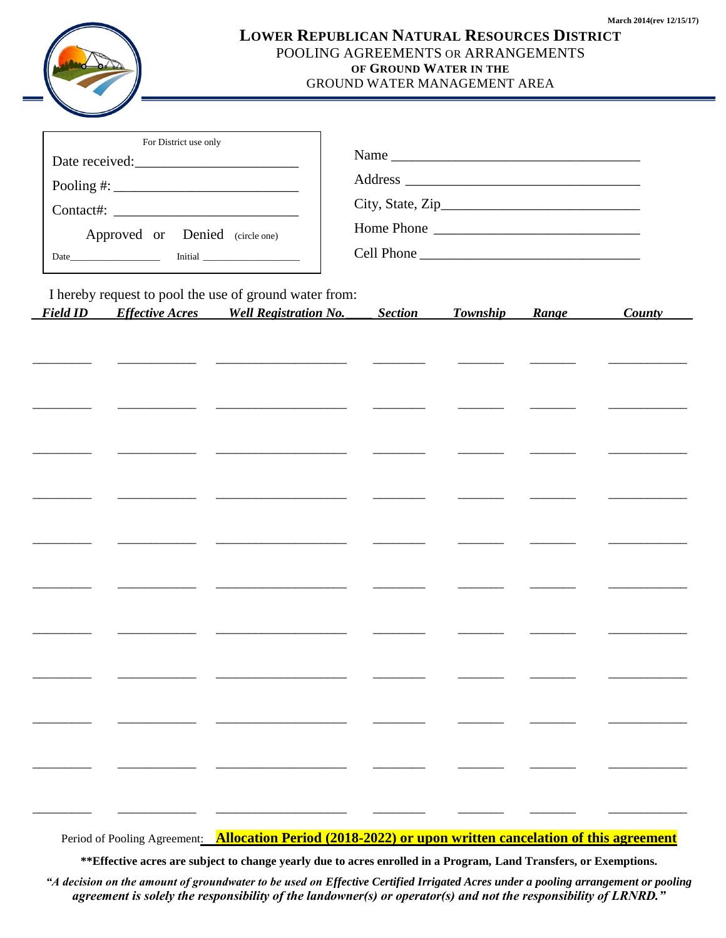

## **LOWER REPUBLICAN NATURAL RESOURCES DISTRICT** POOLING AGREEMENTS OR ARRANGEMENTS **OF GROUND WATER IN THE**

## GROUND WATER MANAGEMENT AREA

| For District use only<br>Date received:<br>Pooling #: $\_$<br>Approved or Denied (circle one) |  |                                                                                                        | Home Phone |                |  |                |               |
|-----------------------------------------------------------------------------------------------|--|--------------------------------------------------------------------------------------------------------|------------|----------------|--|----------------|---------------|
| <b>Field ID</b>                                                                               |  | I hereby request to pool the use of ground water from:<br><b>Effective Acres</b> Well Registration No. |            | <b>Section</b> |  | Township Range | <b>County</b> |
|                                                                                               |  |                                                                                                        |            |                |  |                |               |
|                                                                                               |  |                                                                                                        |            |                |  |                |               |
|                                                                                               |  |                                                                                                        |            |                |  |                |               |
|                                                                                               |  | the control of the control of the control of the control of the control of the control of              |            |                |  |                |               |
|                                                                                               |  |                                                                                                        |            |                |  |                |               |
|                                                                                               |  |                                                                                                        |            |                |  |                |               |
|                                                                                               |  |                                                                                                        |            |                |  |                |               |
|                                                                                               |  |                                                                                                        |            |                |  |                |               |
|                                                                                               |  |                                                                                                        |            |                |  |                |               |
|                                                                                               |  |                                                                                                        |            |                |  |                |               |
|                                                                                               |  |                                                                                                        |            |                |  |                |               |

Period of Pooling Agreement: **Allocation Period (2018-2022) or upon written cancelation of this agreement**

**\*\*Effective acres are subject to change yearly due to acres enrolled in a Program, Land Transfers, or Exemptions.**

*"A decision on the amount of groundwater to be used on Effective Certified Irrigated Acres under a pooling arrangement or pooling agreement is solely the responsibility of the landowner(s) or operator(s) and not the responsibility of LRNRD."*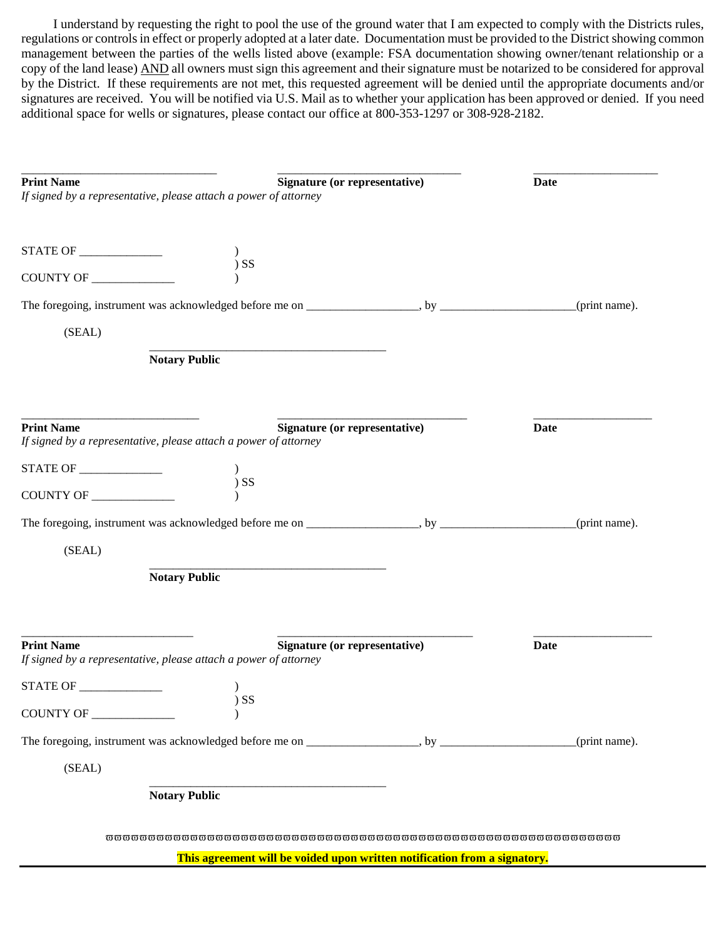I understand by requesting the right to pool the use of the ground water that I am expected to comply with the Districts rules, regulations or controls in effect or properly adopted at a later date. Documentation must be provided to the District showing common management between the parties of the wells listed above (example: FSA documentation showing owner/tenant relationship or a copy of the land lease) AND all owners must sign this agreement and their signature must be notarized to be considered for approval by the District. If these requirements are not met, this requested agreement will be denied until the appropriate documents and/or signatures are received. You will be notified via U.S. Mail as to whether your application has been approved or denied. If you need additional space for wells or signatures, please contact our office at 800-353-1297 or 308-928-2182.

| <b>Print Name</b><br>If signed by a representative, please attach a power of attorney | Signature (or representative)                                             | <b>Date</b>   |
|---------------------------------------------------------------------------------------|---------------------------------------------------------------------------|---------------|
|                                                                                       |                                                                           |               |
|                                                                                       | $)$ SS                                                                    |               |
|                                                                                       |                                                                           | (print name). |
| (SEAL)                                                                                |                                                                           |               |
|                                                                                       | <b>Notary Public</b>                                                      |               |
| <b>Print Name</b><br>If signed by a representative, please attach a power of attorney | <b>Signature (or representative)</b>                                      | Date          |
| STATE OF _____________                                                                |                                                                           |               |
| COUNTY OF _________                                                                   | $)$ SS                                                                    |               |
|                                                                                       |                                                                           | (print name). |
| (SEAL)                                                                                |                                                                           |               |
|                                                                                       | <b>Notary Public</b>                                                      |               |
| <b>Print Name</b><br>If signed by a representative, please attach a power of attorney | Signature (or representative)                                             | <b>Date</b>   |
| STATE OF                                                                              | $\mathcal{E}$                                                             |               |
| COUNTY OF _____________                                                               | $)$ SS                                                                    |               |
|                                                                                       |                                                                           | (print name). |
| (SEAL)                                                                                |                                                                           |               |
|                                                                                       | <b>Notary Public</b>                                                      |               |
|                                                                                       | This agreement will be voided upon written notification from a signatory. |               |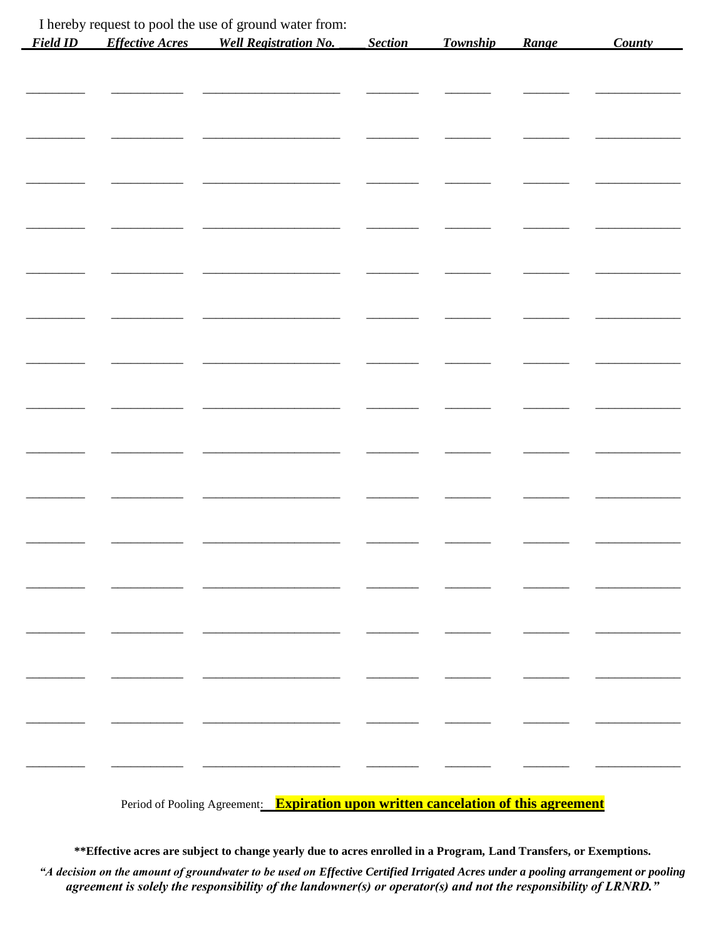| <b>Field ID</b> | <b>Effective Acres</b> | I hereby request to pool the use of ground water from:<br><b>Well Registration No.</b> | Section | Township | Range | <b>County</b> |
|-----------------|------------------------|----------------------------------------------------------------------------------------|---------|----------|-------|---------------|
|                 |                        |                                                                                        |         |          |       |               |
|                 |                        |                                                                                        |         |          |       |               |
|                 |                        |                                                                                        |         |          |       |               |
|                 |                        |                                                                                        |         |          |       |               |
|                 |                        |                                                                                        |         |          |       |               |
|                 |                        |                                                                                        |         |          |       |               |
|                 |                        |                                                                                        |         |          |       |               |
|                 |                        |                                                                                        |         |          |       |               |
|                 |                        |                                                                                        |         |          |       |               |
|                 |                        |                                                                                        |         |          |       |               |
|                 |                        |                                                                                        |         |          |       |               |
|                 |                        |                                                                                        |         |          |       |               |
|                 |                        |                                                                                        |         |          |       |               |
|                 |                        |                                                                                        |         |          |       |               |
|                 |                        |                                                                                        |         |          |       |               |
|                 |                        |                                                                                        |         |          |       |               |
|                 |                        |                                                                                        |         |          |       |               |
|                 |                        |                                                                                        |         |          |       |               |
|                 |                        |                                                                                        |         |          |       |               |
|                 |                        |                                                                                        |         |          |       |               |
|                 |                        |                                                                                        |         |          |       |               |
|                 |                        |                                                                                        |         |          |       |               |
|                 |                        | Period of Pooling Agreement: Expiration upon written cancelation of this agreement     |         |          |       |               |

\*\* Effective acres are subject to change yearly due to acres enrolled in a Program, Land Transfers, or Exemptions.

"A decision on the amount of groundwater to be used on Effective Certified Irrigated Acres under a pooling arrangement or pooling agreement is solely the responsibility of the landowner(s) or operator(s) and not the responsibility of LRNRD."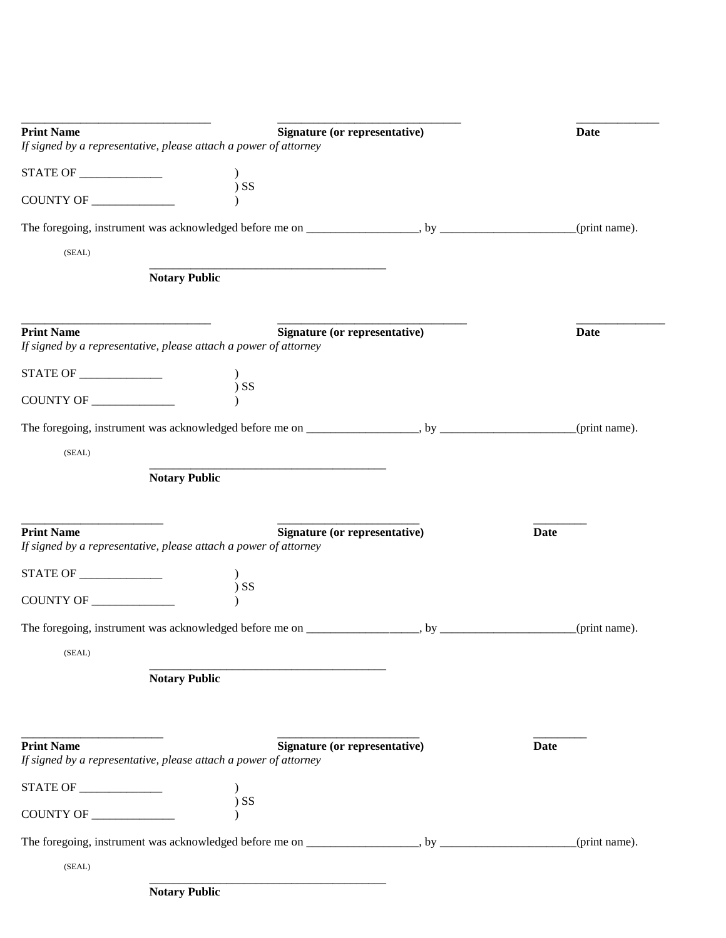| <b>Print Name</b>               |                                                                                                          |  | <b>Date</b>   |
|---------------------------------|----------------------------------------------------------------------------------------------------------|--|---------------|
|                                 | <b>Signature (or representative)</b><br>If signed by a representative, please attach a power of attorney |  |               |
| STATE OF ______________         |                                                                                                          |  |               |
| COUNTY OF ______________        | $)$ SS                                                                                                   |  |               |
|                                 |                                                                                                          |  | (print name). |
| (SEAL)                          |                                                                                                          |  |               |
|                                 | <b>Notary Public</b>                                                                                     |  |               |
| <b>Print Name</b>               | <b>Signature (or representative)</b>                                                                     |  | <b>Date</b>   |
|                                 | If signed by a representative, please attach a power of attorney                                         |  |               |
|                                 | $)$ SS                                                                                                   |  |               |
| COUNTY OF __________            |                                                                                                          |  |               |
|                                 |                                                                                                          |  | (print name). |
| (SEAL)                          |                                                                                                          |  |               |
|                                 | <b>Notary Public</b>                                                                                     |  |               |
|                                 |                                                                                                          |  |               |
| <b>Print Name</b>               | Signature (or representative)<br>If signed by a representative, please attach a power of attorney        |  | Date          |
| <b>STATE OF _______________</b> |                                                                                                          |  |               |
| COUNTY OF __________            | $)$ SS                                                                                                   |  |               |
|                                 |                                                                                                          |  | (print name). |
| (SEAL)                          |                                                                                                          |  |               |
|                                 | <b>Notary Public</b>                                                                                     |  |               |
|                                 |                                                                                                          |  |               |
|                                 |                                                                                                          |  |               |
| <b>Print Name</b>               | Signature (or representative)<br>If signed by a representative, please attach a power of attorney        |  | <b>Date</b>   |
| STATE OF                        |                                                                                                          |  |               |
|                                 | $)$ SS                                                                                                   |  |               |
|                                 |                                                                                                          |  | (print name). |
| (SEAL)                          |                                                                                                          |  |               |
|                                 | <b>Notary Public</b>                                                                                     |  |               |